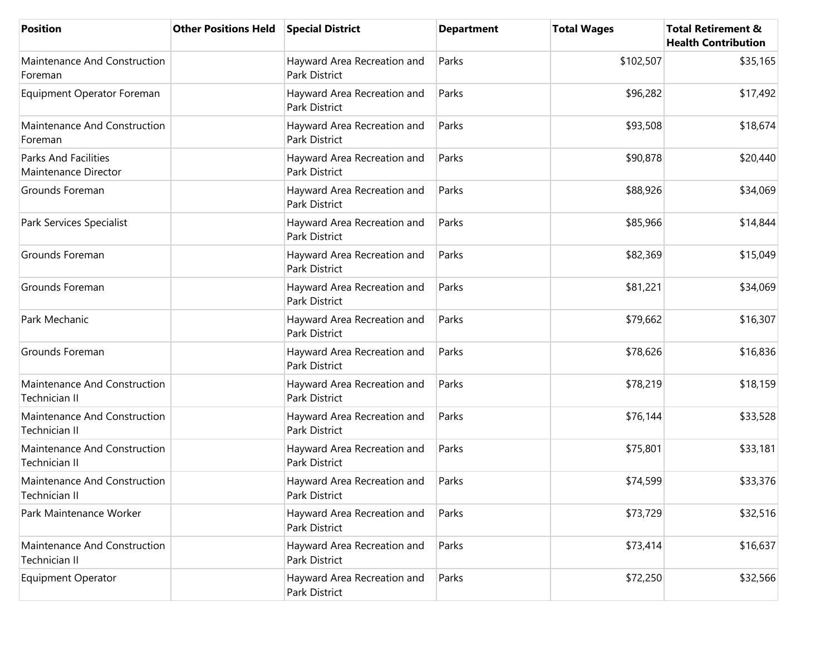| <b>Position</b>                                      | <b>Other Positions Held</b> | <b>Special District</b>                             | <b>Department</b> | <b>Total Wages</b> | <b>Total Retirement &amp;</b><br><b>Health Contribution</b> |
|------------------------------------------------------|-----------------------------|-----------------------------------------------------|-------------------|--------------------|-------------------------------------------------------------|
| Maintenance And Construction<br>Foreman              |                             | Hayward Area Recreation and<br><b>Park District</b> | Parks             | \$102,507          | \$35,165                                                    |
| Equipment Operator Foreman                           |                             | Hayward Area Recreation and<br>Park District        | Parks             | \$96,282           | \$17,492                                                    |
| Maintenance And Construction<br>Foreman              |                             | Hayward Area Recreation and<br>Park District        | Parks             | \$93,508           | \$18,674                                                    |
| <b>Parks And Facilities</b><br>Maintenance Director  |                             | Hayward Area Recreation and<br>Park District        | Parks             | \$90,878           | \$20,440                                                    |
| Grounds Foreman                                      |                             | Hayward Area Recreation and<br>Park District        | Parks             | \$88,926           | \$34,069                                                    |
| Park Services Specialist                             |                             | Hayward Area Recreation and<br>Park District        | Parks             | \$85,966           | \$14,844                                                    |
| Grounds Foreman                                      |                             | Hayward Area Recreation and<br>Park District        | Parks             | \$82,369           | \$15,049                                                    |
| Grounds Foreman                                      |                             | Hayward Area Recreation and<br><b>Park District</b> | Parks             | \$81,221           | \$34,069                                                    |
| Park Mechanic                                        |                             | Hayward Area Recreation and<br>Park District        | Parks             | \$79,662           | \$16,307                                                    |
| Grounds Foreman                                      |                             | Hayward Area Recreation and<br>Park District        | Parks             | \$78,626           | \$16,836                                                    |
| Maintenance And Construction<br>Technician II        |                             | Hayward Area Recreation and<br><b>Park District</b> | Parks             | \$78,219           | \$18,159                                                    |
| Maintenance And Construction<br>Technician II        |                             | Hayward Area Recreation and<br>Park District        | Parks             | \$76,144           | \$33,528                                                    |
| Maintenance And Construction<br>Technician II        |                             | Hayward Area Recreation and<br>Park District        | Parks             | \$75,801           | \$33,181                                                    |
| Maintenance And Construction<br>Technician II        |                             | Hayward Area Recreation and<br>Park District        | Parks             | \$74,599           | \$33,376                                                    |
| Park Maintenance Worker                              |                             | Hayward Area Recreation and<br>Park District        | Parks             | \$73,729           | \$32,516                                                    |
| Maintenance And Construction<br><b>Technician II</b> |                             | Hayward Area Recreation and<br>Park District        | Parks             | \$73,414           | \$16,637                                                    |
| <b>Equipment Operator</b>                            |                             | Hayward Area Recreation and<br>Park District        | Parks             | \$72,250           | \$32,566                                                    |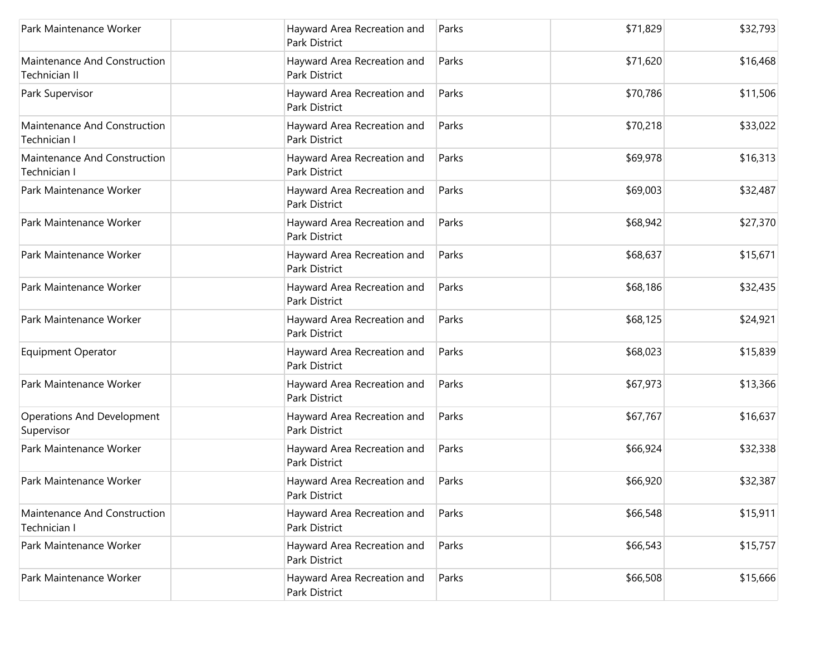| Park Maintenance Worker                         | Hayward Area Recreation and<br>Park District        | Parks | \$71,829 | \$32,793 |
|-------------------------------------------------|-----------------------------------------------------|-------|----------|----------|
| Maintenance And Construction<br>Technician II   | Hayward Area Recreation and<br><b>Park District</b> | Parks | \$71,620 | \$16,468 |
| Park Supervisor                                 | Hayward Area Recreation and<br><b>Park District</b> | Parks | \$70,786 | \$11,506 |
| Maintenance And Construction<br>Technician I    | Hayward Area Recreation and<br>Park District        | Parks | \$70,218 | \$33,022 |
| Maintenance And Construction<br>Technician I    | Hayward Area Recreation and<br><b>Park District</b> | Parks | \$69,978 | \$16,313 |
| Park Maintenance Worker                         | Hayward Area Recreation and<br>Park District        | Parks | \$69,003 | \$32,487 |
| Park Maintenance Worker                         | Hayward Area Recreation and<br><b>Park District</b> | Parks | \$68,942 | \$27,370 |
| Park Maintenance Worker                         | Hayward Area Recreation and<br>Park District        | Parks | \$68,637 | \$15,671 |
| Park Maintenance Worker                         | Hayward Area Recreation and<br>Park District        | Parks | \$68,186 | \$32,435 |
| Park Maintenance Worker                         | Hayward Area Recreation and<br>Park District        | Parks | \$68,125 | \$24,921 |
| <b>Equipment Operator</b>                       | Hayward Area Recreation and<br>Park District        | Parks | \$68,023 | \$15,839 |
| Park Maintenance Worker                         | Hayward Area Recreation and<br>Park District        | Parks | \$67,973 | \$13,366 |
| <b>Operations And Development</b><br>Supervisor | Hayward Area Recreation and<br>Park District        | Parks | \$67,767 | \$16,637 |
| Park Maintenance Worker                         | Hayward Area Recreation and<br>Park District        | Parks | \$66,924 | \$32,338 |
| Park Maintenance Worker                         | Hayward Area Recreation and<br>Park District        | Parks | \$66,920 | \$32,387 |
| Maintenance And Construction<br>Technician I    | Hayward Area Recreation and<br>Park District        | Parks | \$66,548 | \$15,911 |
| Park Maintenance Worker                         | Hayward Area Recreation and<br>Park District        | Parks | \$66,543 | \$15,757 |
| Park Maintenance Worker                         | Hayward Area Recreation and<br>Park District        | Parks | \$66,508 | \$15,666 |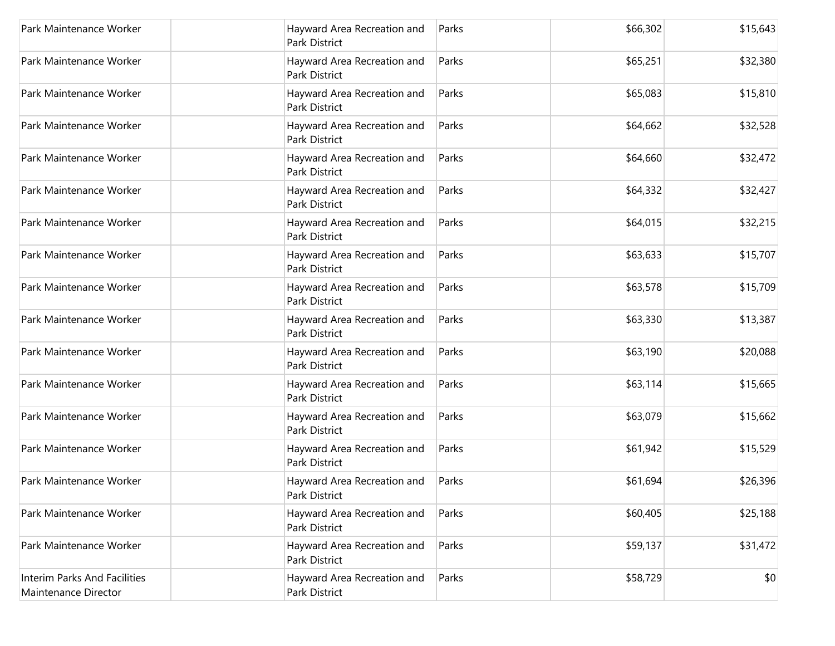| Park Maintenance Worker                              | Hayward Area Recreation and<br>Park District        | Parks | \$66,302 | \$15,643 |
|------------------------------------------------------|-----------------------------------------------------|-------|----------|----------|
| Park Maintenance Worker                              | Hayward Area Recreation and<br><b>Park District</b> | Parks | \$65,251 | \$32,380 |
| Park Maintenance Worker                              | Hayward Area Recreation and<br>Park District        | Parks | \$65,083 | \$15,810 |
| Park Maintenance Worker                              | Hayward Area Recreation and<br>Park District        | Parks | \$64,662 | \$32,528 |
| Park Maintenance Worker                              | Hayward Area Recreation and<br>Park District        | Parks | \$64,660 | \$32,472 |
| Park Maintenance Worker                              | Hayward Area Recreation and<br>Park District        | Parks | \$64,332 | \$32,427 |
| Park Maintenance Worker                              | Hayward Area Recreation and<br>Park District        | Parks | \$64,015 | \$32,215 |
| Park Maintenance Worker                              | Hayward Area Recreation and<br>Park District        | Parks | \$63,633 | \$15,707 |
| Park Maintenance Worker                              | Hayward Area Recreation and<br>Park District        | Parks | \$63,578 | \$15,709 |
| Park Maintenance Worker                              | Hayward Area Recreation and<br>Park District        | Parks | \$63,330 | \$13,387 |
| Park Maintenance Worker                              | Hayward Area Recreation and<br>Park District        | Parks | \$63,190 | \$20,088 |
| Park Maintenance Worker                              | Hayward Area Recreation and<br>Park District        | Parks | \$63,114 | \$15,665 |
| Park Maintenance Worker                              | Hayward Area Recreation and<br>Park District        | Parks | \$63,079 | \$15,662 |
| Park Maintenance Worker                              | Hayward Area Recreation and<br><b>Park District</b> | Parks | \$61,942 | \$15,529 |
| Park Maintenance Worker                              | Hayward Area Recreation and<br>Park District        | Parks | \$61,694 | \$26,396 |
| Park Maintenance Worker                              | Hayward Area Recreation and<br>Park District        | Parks | \$60,405 | \$25,188 |
| Park Maintenance Worker                              | Hayward Area Recreation and<br>Park District        | Parks | \$59,137 | \$31,472 |
| Interim Parks And Facilities<br>Maintenance Director | Hayward Area Recreation and<br>Park District        | Parks | \$58,729 | \$0      |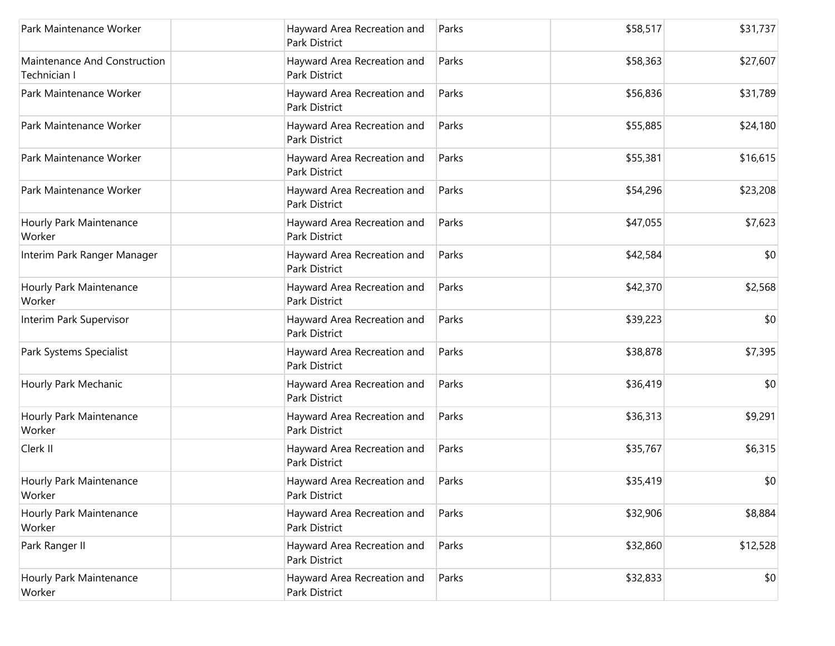| Park Maintenance Worker                      | Hayward Area Recreation and<br>Park District        | Parks | \$58,517 | \$31,737 |
|----------------------------------------------|-----------------------------------------------------|-------|----------|----------|
| Maintenance And Construction<br>Technician I | Hayward Area Recreation and<br><b>Park District</b> | Parks | \$58,363 | \$27,607 |
| Park Maintenance Worker                      | Hayward Area Recreation and<br>Park District        | Parks | \$56,836 | \$31,789 |
| Park Maintenance Worker                      | Hayward Area Recreation and<br>Park District        | Parks | \$55,885 | \$24,180 |
| Park Maintenance Worker                      | Hayward Area Recreation and<br>Park District        | Parks | \$55,381 | \$16,615 |
| Park Maintenance Worker                      | Hayward Area Recreation and<br>Park District        | Parks | \$54,296 | \$23,208 |
| Hourly Park Maintenance<br>Worker            | Hayward Area Recreation and<br><b>Park District</b> | Parks | \$47,055 | \$7,623  |
| Interim Park Ranger Manager                  | Hayward Area Recreation and<br>Park District        | Parks | \$42,584 | \$0      |
| Hourly Park Maintenance<br>Worker            | Hayward Area Recreation and<br>Park District        | Parks | \$42,370 | \$2,568  |
| Interim Park Supervisor                      | Hayward Area Recreation and<br>Park District        | Parks | \$39,223 | \$0      |
| Park Systems Specialist                      | Hayward Area Recreation and<br>Park District        | Parks | \$38,878 | \$7,395  |
| Hourly Park Mechanic                         | Hayward Area Recreation and<br>Park District        | Parks | \$36,419 | \$0      |
| Hourly Park Maintenance<br>Worker            | Hayward Area Recreation and<br>Park District        | Parks | \$36,313 | \$9,291  |
| Clerk II                                     | Hayward Area Recreation and<br>Park District        | Parks | \$35,767 | \$6,315  |
| Hourly Park Maintenance<br>Worker            | Hayward Area Recreation and<br>Park District        | Parks | \$35,419 | \$0      |
| Hourly Park Maintenance<br>Worker            | Hayward Area Recreation and<br>Park District        | Parks | \$32,906 | \$8,884  |
| Park Ranger II                               | Hayward Area Recreation and<br>Park District        | Parks | \$32,860 | \$12,528 |
| Hourly Park Maintenance<br>Worker            | Hayward Area Recreation and<br>Park District        | Parks | \$32,833 | \$0      |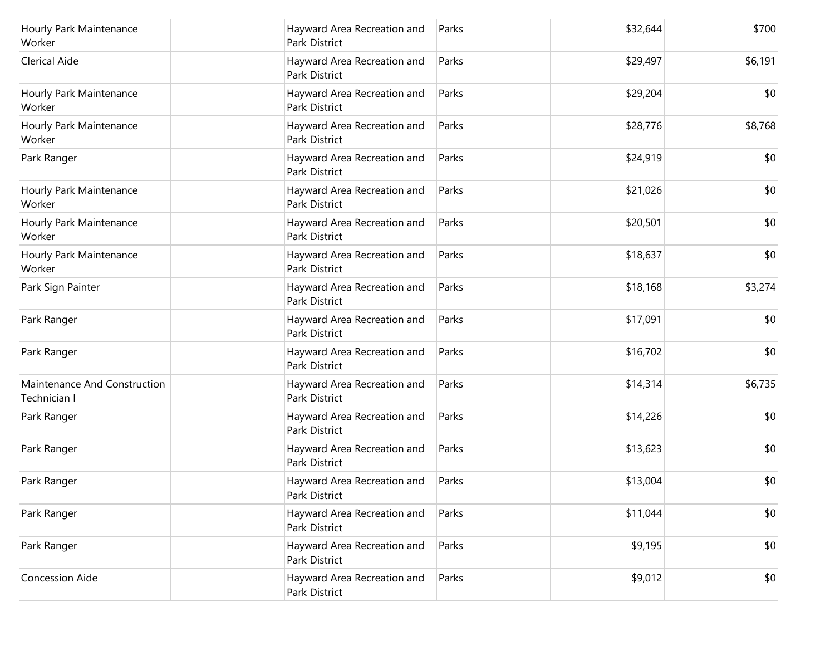| Hourly Park Maintenance<br>Worker            | Hayward Area Recreation and<br>Park District        | Parks | \$32,644 | \$700   |
|----------------------------------------------|-----------------------------------------------------|-------|----------|---------|
| <b>Clerical Aide</b>                         | Hayward Area Recreation and<br>Park District        | Parks | \$29,497 | \$6,191 |
| Hourly Park Maintenance<br>Worker            | Hayward Area Recreation and<br>Park District        | Parks | \$29,204 | \$0     |
| Hourly Park Maintenance<br>Worker            | Hayward Area Recreation and<br>Park District        | Parks | \$28,776 | \$8,768 |
| Park Ranger                                  | Hayward Area Recreation and<br>Park District        | Parks | \$24,919 | \$0     |
| Hourly Park Maintenance<br>Worker            | Hayward Area Recreation and<br>Park District        | Parks | \$21,026 | \$0     |
| Hourly Park Maintenance<br>Worker            | Hayward Area Recreation and<br><b>Park District</b> | Parks | \$20,501 | \$0     |
| Hourly Park Maintenance<br>Worker            | Hayward Area Recreation and<br>Park District        | Parks | \$18,637 | \$0     |
| Park Sign Painter                            | Hayward Area Recreation and<br><b>Park District</b> | Parks | \$18,168 | \$3,274 |
| Park Ranger                                  | Hayward Area Recreation and<br>Park District        | Parks | \$17,091 | \$0     |
| Park Ranger                                  | Hayward Area Recreation and<br>Park District        | Parks | \$16,702 | \$0     |
| Maintenance And Construction<br>Technician I | Hayward Area Recreation and<br>Park District        | Parks | \$14,314 | \$6,735 |
| Park Ranger                                  | Hayward Area Recreation and<br>Park District        | Parks | \$14,226 | \$0     |
| Park Ranger                                  | Hayward Area Recreation and<br><b>Park District</b> | Parks | \$13,623 | \$0     |
| Park Ranger                                  | Hayward Area Recreation and<br>Park District        | Parks | \$13,004 | \$0     |
| Park Ranger                                  | Hayward Area Recreation and<br>Park District        | Parks | \$11,044 | \$0     |
| Park Ranger                                  | Hayward Area Recreation and<br><b>Park District</b> | Parks | \$9,195  | \$0     |
| Concession Aide                              | Hayward Area Recreation and<br>Park District        | Parks | \$9,012  | \$0     |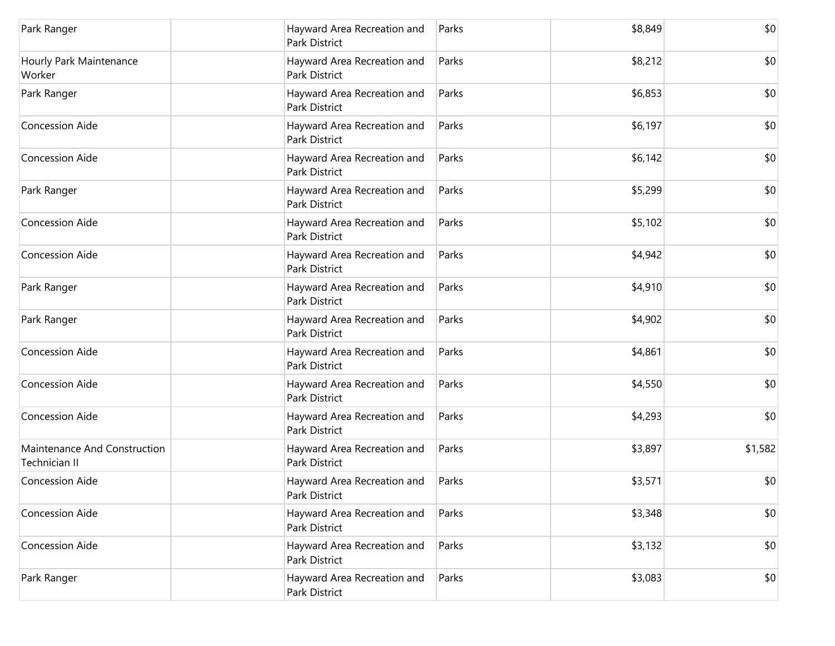| Park Ranger                                   | Hayward Area Recreation and<br>Park District        | Parks | \$8,849 | \$0     |
|-----------------------------------------------|-----------------------------------------------------|-------|---------|---------|
| Hourly Park Maintenance<br>Worker             | Hayward Area Recreation and<br>Park District        | Parks | \$8,212 | \$0     |
| Park Ranger                                   | Hayward Area Recreation and<br>Park District        | Parks | \$6,853 | \$0     |
| <b>Concession Aide</b>                        | Hayward Area Recreation and<br>Park District        | Parks | \$6,197 | \$0     |
| <b>Concession Aide</b>                        | Hayward Area Recreation and<br><b>Park District</b> | Parks | \$6,142 | \$0     |
| Park Ranger                                   | Hayward Area Recreation and<br>Park District        | Parks | \$5,299 | \$0     |
| <b>Concession Aide</b>                        | Hayward Area Recreation and<br><b>Park District</b> | Parks | \$5,102 | \$0     |
| <b>Concession Aide</b>                        | Hayward Area Recreation and<br>Park District        | Parks | \$4,942 | \$0     |
| Park Ranger                                   | Hayward Area Recreation and<br><b>Park District</b> | Parks | \$4,910 | \$0     |
| Park Ranger                                   | Hayward Area Recreation and<br>Park District        | Parks | \$4,902 | \$0     |
| <b>Concession Aide</b>                        | Hayward Area Recreation and<br><b>Park District</b> | Parks | \$4,861 | \$0     |
| <b>Concession Aide</b>                        | Hayward Area Recreation and<br>Park District        | Parks | \$4,550 | \$0     |
| <b>Concession Aide</b>                        | Hayward Area Recreation and<br><b>Park District</b> | Parks | \$4,293 | \$0     |
| Maintenance And Construction<br>Technician II | Hayward Area Recreation and<br><b>Park District</b> | Parks | \$3,897 | \$1,582 |
| <b>Concession Aide</b>                        | Hayward Area Recreation and<br>Park District        | Parks | \$3,571 | \$0     |
| Concession Aide                               | Hayward Area Recreation and<br>Park District        | Parks | \$3,348 | \$0     |
| <b>Concession Aide</b>                        | Hayward Area Recreation and<br>Park District        | Parks | \$3,132 | \$0     |
| Park Ranger                                   | Hayward Area Recreation and<br>Park District        | Parks | \$3,083 | \$0     |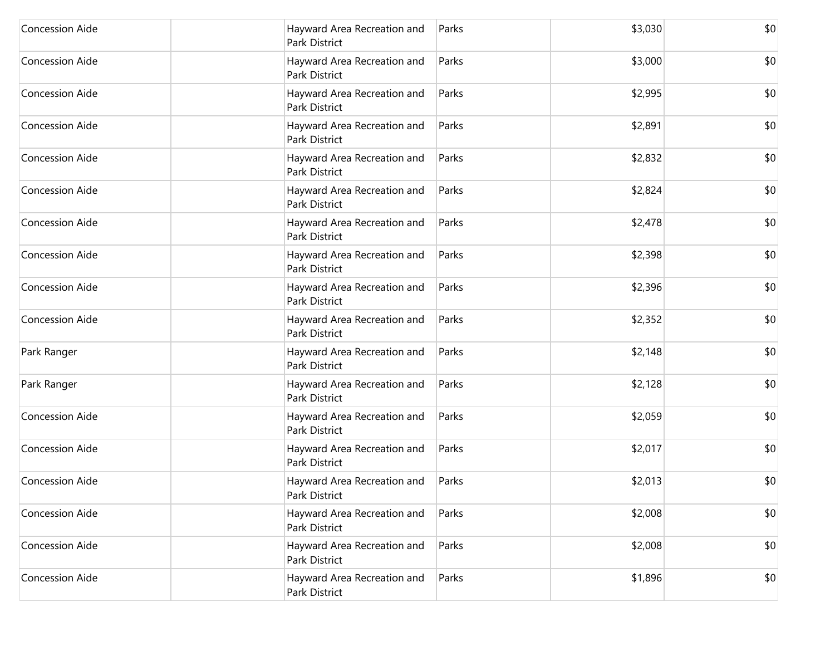| <b>Concession Aide</b> | Hayward Area Recreation and<br>Park District        | Parks | \$3,030 | \$0 |
|------------------------|-----------------------------------------------------|-------|---------|-----|
| <b>Concession Aide</b> | Hayward Area Recreation and<br><b>Park District</b> | Parks | \$3,000 | \$0 |
| <b>Concession Aide</b> | Hayward Area Recreation and<br>Park District        | Parks | \$2,995 | \$0 |
| Concession Aide        | Hayward Area Recreation and<br>Park District        | Parks | \$2,891 | \$0 |
| Concession Aide        | Hayward Area Recreation and<br>Park District        | Parks | \$2,832 | \$0 |
| Concession Aide        | Hayward Area Recreation and<br>Park District        | Parks | \$2,824 | \$0 |
| <b>Concession Aide</b> | Hayward Area Recreation and<br><b>Park District</b> | Parks | \$2,478 | \$0 |
| Concession Aide        | Hayward Area Recreation and<br>Park District        | Parks | \$2,398 | \$0 |
| Concession Aide        | Hayward Area Recreation and<br>Park District        | Parks | \$2,396 | \$0 |
| Concession Aide        | Hayward Area Recreation and<br>Park District        | Parks | \$2,352 | \$0 |
| Park Ranger            | Hayward Area Recreation and<br><b>Park District</b> | Parks | \$2,148 | \$0 |
| Park Ranger            | Hayward Area Recreation and<br>Park District        | Parks | \$2,128 | \$0 |
| Concession Aide        | Hayward Area Recreation and<br>Park District        | Parks | \$2,059 | \$0 |
| Concession Aide        | Hayward Area Recreation and<br><b>Park District</b> | Parks | \$2,017 | \$0 |
| Concession Aide        | Hayward Area Recreation and<br>Park District        | Parks | \$2,013 | \$0 |
| Concession Aide        | Hayward Area Recreation and<br>Park District        | Parks | \$2,008 | \$0 |
| Concession Aide        | Hayward Area Recreation and<br>Park District        | Parks | \$2,008 | \$0 |
| Concession Aide        | Hayward Area Recreation and<br>Park District        | Parks | \$1,896 | \$0 |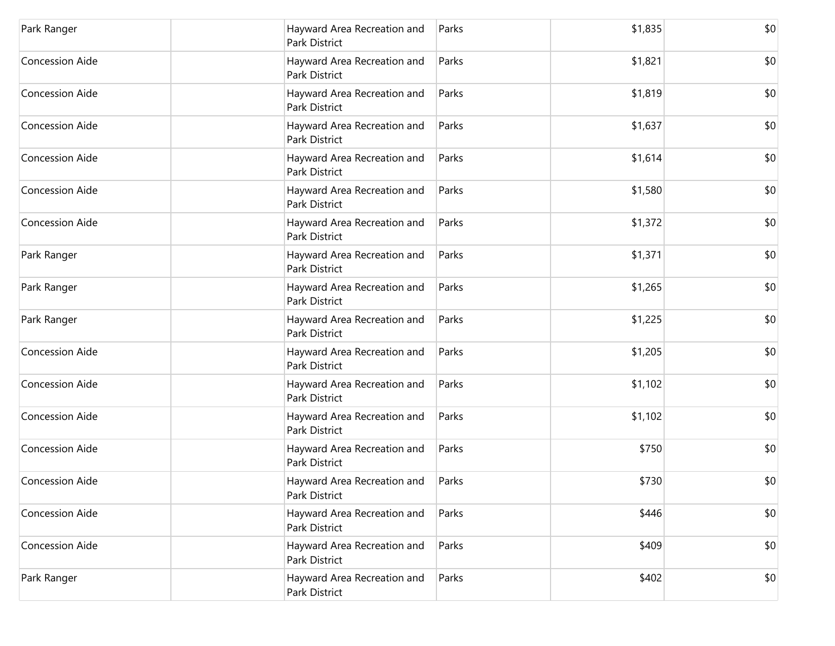| Park Ranger            | Hayward Area Recreation and<br>Park District        | Parks | \$1,835 | \$0 |
|------------------------|-----------------------------------------------------|-------|---------|-----|
| <b>Concession Aide</b> | Hayward Area Recreation and<br>Park District        | Parks | \$1,821 | \$0 |
| <b>Concession Aide</b> | Hayward Area Recreation and<br>Park District        | Parks | \$1,819 | \$0 |
| <b>Concession Aide</b> | Hayward Area Recreation and<br>Park District        | Parks | \$1,637 | \$0 |
| <b>Concession Aide</b> | Hayward Area Recreation and<br><b>Park District</b> | Parks | \$1,614 | \$0 |
| <b>Concession Aide</b> | Hayward Area Recreation and<br>Park District        | Parks | \$1,580 | \$0 |
| <b>Concession Aide</b> | Hayward Area Recreation and<br><b>Park District</b> | Parks | \$1,372 | \$0 |
| Park Ranger            | Hayward Area Recreation and<br>Park District        | Parks | \$1,371 | \$0 |
| Park Ranger            | Hayward Area Recreation and<br>Park District        | Parks | \$1,265 | \$0 |
| Park Ranger            | Hayward Area Recreation and<br>Park District        | Parks | \$1,225 | \$0 |
| <b>Concession Aide</b> | Hayward Area Recreation and<br>Park District        | Parks | \$1,205 | \$0 |
| <b>Concession Aide</b> | Hayward Area Recreation and<br>Park District        | Parks | \$1,102 | \$0 |
| <b>Concession Aide</b> | Hayward Area Recreation and<br>Park District        | Parks | \$1,102 | \$0 |
| <b>Concession Aide</b> | Hayward Area Recreation and<br><b>Park District</b> | Parks | \$750   | \$0 |
| <b>Concession Aide</b> | Hayward Area Recreation and<br>Park District        | Parks | \$730   | \$0 |
| Concession Aide        | Hayward Area Recreation and<br>Park District        | Parks | \$446   | \$0 |
| <b>Concession Aide</b> | Hayward Area Recreation and<br>Park District        | Parks | \$409   | \$0 |
| Park Ranger            | Hayward Area Recreation and<br>Park District        | Parks | \$402   | \$0 |